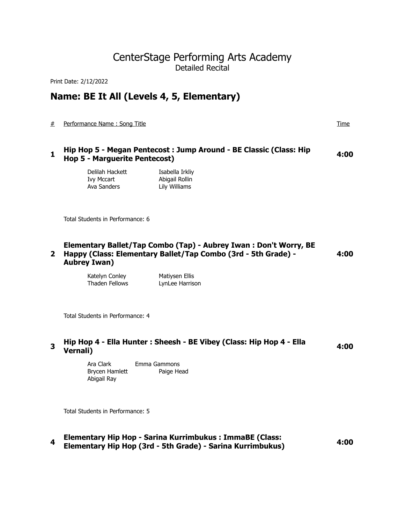# CenterStage Performing Arts Academy Detailed Recital

Print Date: 2/12/2022

# **Name: BE It All (Levels 4, 5, Elementary)**

# Performance Name : Song Title Time

## **<sup>1</sup>Hip Hop 5 - Megan Pentecost : Jump Around - BE Classic (Class: Hip Hop 5 - Marguerite Pentecost) 4:00**

Delilah Hackett Isabella Irkliy Ivy Mccart Abigail Rollin Ava Sanders Lily Williams

Total Students in Performance: 6

#### **2 Happy (Class: Elementary Ballet/Tap Combo (3rd - 5th Grade) - Elementary Ballet/Tap Combo (Tap) - Aubrey Iwan : Don't Worry, BE Aubrey Iwan) 4:00**

Katelyn Conley Matiysen Ellis Thaden Fellows LynLee Harrison

Total Students in Performance: 4

# **<sup>3</sup>Hip Hop 4 - Ella Hunter : Sheesh - BE Vibey (Class: Hip Hop 4 - Ella Vernali) 4:00**

Ara Clark Emma Gammons Brycen Hamlett Paige Head Abigail Ray

Total Students in Performance: 5

**<sup>4</sup>Elementary Hip Hop - Sarina Kurrimbukus : ImmaBE (Class: Elementary Hip Hop (3rd - 5th Grade) - Sarina Kurrimbukus) 4:00**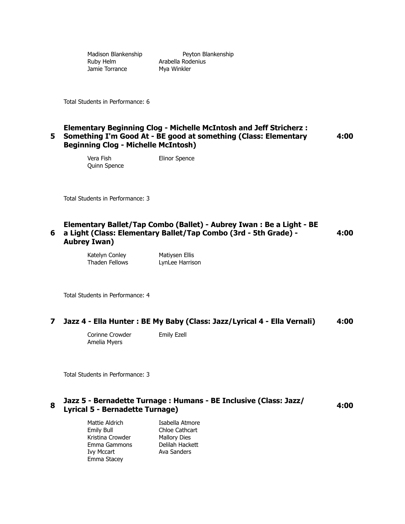Madison Blankenship Peyton Blankenship Ruby Helm **Arabella Rodenius** Jamie Torrance Mya Winkler

Total Students in Performance: 6

## **5 Something I'm Good At - BE good at something (Class: Elementary Elementary Beginning Clog - Michelle McIntosh and Jeff Stricherz : Beginning Clog - Michelle McIntosh)**

Vera Fish Elinor Spence Quinn Spence

Total Students in Performance: 3

#### **6 a Light (Class: Elementary Ballet/Tap Combo (3rd - 5th Grade) - Elementary Ballet/Tap Combo (Ballet) - Aubrey Iwan : Be a Light - BE Aubrey Iwan) 4:00**

Katelyn Conley Matiysen Ellis Thaden Fellows LynLee Harrison

Total Students in Performance: 4

## **7 Jazz 4 - Ella Hunter : BE My Baby (Class: Jazz/Lyrical 4 - Ella Vernali) 4:00**

Corinne Crowder **Emily Ezell** Amelia Myers

Total Students in Performance: 3

## **<sup>8</sup>Jazz 5 - Bernadette Turnage : Humans - BE Inclusive (Class: Jazz/ Lyrical 5 - Bernadette Turnage) 4:00**

Mattie Aldrich **Isabella Atmore** Emily Bull Chloe Cathcart Kristina Crowder Mallory Dies Emma Gammons Delilah Hackett Ivy Mccart Ava Sanders Emma Stacey

**4:00**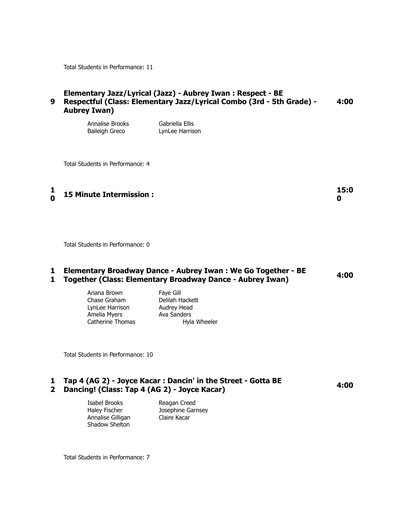Total Students in Performance: 11

#### **9 Respectful (Class: Elementary Jazz/Lyrical Combo (3rd - 5th Grade) - Elementary Jazz/Lyrical (Jazz) - Aubrey Iwan : Respect - BE Aubrey Iwan) 4:00**

| Annalise Brooks       | Gabriella Ellis |
|-----------------------|-----------------|
| <b>Baileigh Greco</b> | LynLee Harrison |

Total Students in Performance: 4

**1 0 15 Minute Intermission : 15:0**

Total Students in Performance: 0

### **1 Elementary Broadway Dance - Aubrey Iwan : We Go Together - BE 1 Together (Class: Elementary Broadway Dance - Aubrey Iwan) 4:00**

Ariana Brown Faye Gill Chase Graham Delilah Hackett LynLee Harrison Audrey Head Amelia Myers **Axa Sanders** 

Catherine Thomas The Hyla Wheeler

Total Students in Performance: 10

## **1 Tap 4 (AG 2) - Joyce Kacar : Dancin' in the Street - Gotta BE 2 Dancing! (Class: Tap 4 (AG 2) - Joyce Kacar) 4:00**

Isabel Brooks Reagan Creed Annalise Gilligan Claire Kacar Shadow Shelton

Haley Fischer Josephine Garnsey

Total Students in Performance: 7

**0**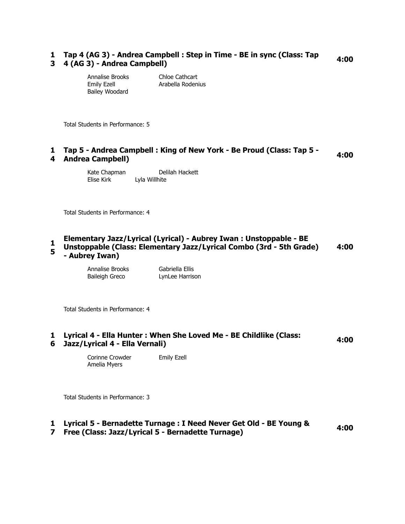## **1 Tap 4 (AG 3) - Andrea Campbell : Step in Time - BE in sync (Class: Tap 3 4 (AG 3) - Andrea Campbell) 4:00**

| Annalise Brooks    | Chloe Cathcart    |
|--------------------|-------------------|
| <b>Emily Ezell</b> | Arabella Rodenius |
| Bailey Woodard     |                   |

Total Students in Performance: 5

## **1 Tap 5 - Andrea Campbell : King of New York - Be Proud (Class: Tap 5 - Andrea Campbell) 4:00** 4 Andrea Campbell)

Kate Chapman Delilah Hackett Elise Kirk Lyla Willhite

Total Students in Performance: 4

#### **1 Elementary Jazz/Lyrical (Lyrical) - Aubrey Iwan : Unstoppable - BE**

**5 Unstoppable (Class: Elementary Jazz/Lyrical Combo (3rd - 5th Grade) - Aubrey Iwan) 4:00**

> Annalise Brooks Gabriella Ellis Baileigh Greco LynLee Harrison

Total Students in Performance: 4

## **1 Lyrical 4 - Ella Hunter : When She Loved Me - BE Childlike (Class: 6 Jazz/Lyrical 4 - Ella Vernali) 4:00**

Corinne Crowder **Emily Ezell** Amelia Myers

Total Students in Performance: 3

## **1 Lyrical 5 - Bernadette Turnage : I Need Never Get Old - BE Young &**

# **7 Free (Class: Jazz/Lyrical 5 - Bernadette Turnage) 4:00**